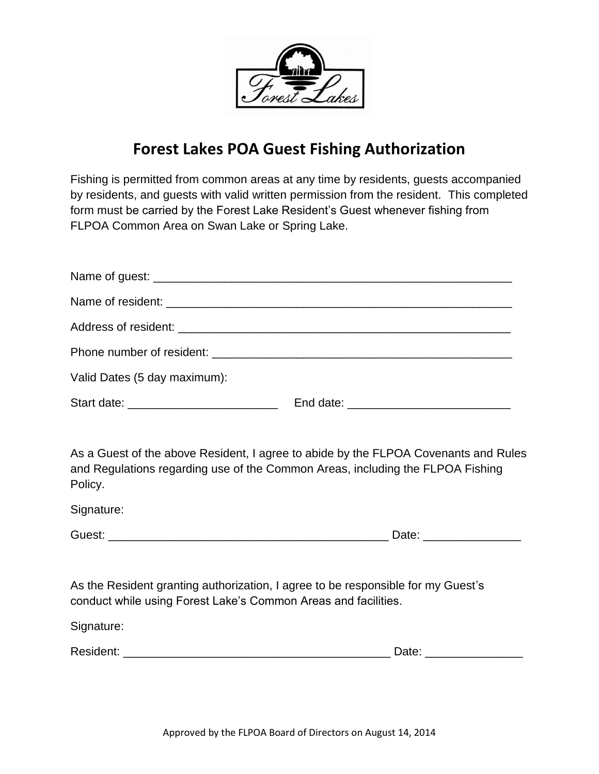

## **Forest Lakes POA Guest Fishing Authorization**

Fishing is permitted from common areas at any time by residents, guests accompanied by residents, and guests with valid written permission from the resident. This completed form must be carried by the Forest Lake Resident's Guest whenever fishing from FLPOA Common Area on Swan Lake or Spring Lake.

| Valid Dates (5 day maximum):             |  |
|------------------------------------------|--|
| Start date: ____________________________ |  |

As a Guest of the above Resident, I agree to abide by the FLPOA Covenants and Rules and Regulations regarding use of the Common Areas, including the FLPOA Fishing Policy.

Signature:

| Guest:<br>uw |
|--------------|
|--------------|

As the Resident granting authorization, I agree to be responsible for my Guest's conduct while using Forest Lake's Common Areas and facilities.

Signature:

| Resident: |  |
|-----------|--|
|-----------|--|